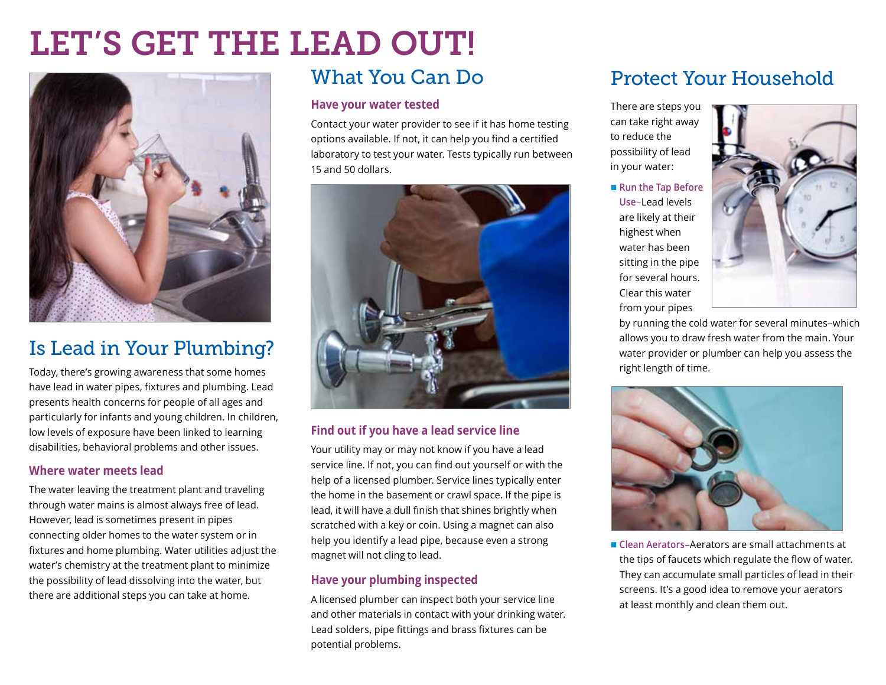# LET'S GET THE LEAD OUT!



# Is Lead in Your Plumbing?

Today, there's growing awareness that some homes have lead in water pipes, fixtures and plumbing. Lead presents health concerns for people of all ages and particularly for infants and young children. In children, low levels of exposure have been linked to learning disabilities, behavioral problems and other issues.

#### **Where water meets lead**

The water leaving the treatment plant and traveling through water mains is almost always free of lead. However, lead is sometimes present in pipes connecting older homes to the water system or in fixtures and home plumbing. Water utilities adjust the water's chemistry at the treatment plant to minimize the possibility of lead dissolving into the water, but there are additional steps you can take at home.

## What You Can Do

#### **Have your water tested**

Contact your water provider to see if it has home testing options available. If not, it can help you find a certified laboratory to test your water. Tests typically run between 15 and 50 dollars.



#### **Find out if you have a lead service line**

Your utility may or may not know if you have a lead service line. If not, you can find out yourself or with the help of a licensed plumber. Service lines typically enter the home in the basement or crawl space. If the pipe is lead, it will have a dull finish that shines brightly when scratched with a key or coin. Using a magnet can also help you identify a lead pipe, because even a strong magnet will not cling to lead.

#### **Have your plumbing inspected**

A licensed plumber can inspect both your service line and other materials in contact with your drinking water. Lead solders, pipe fittings and brass fixtures can be potential problems.

# Protect Your Household

There are steps you can take right away to reduce the possibility of lead in your water:

■ Run the Tap Before **Use**–Lead levels are likely at their highest when water has been sitting in the pipe for several hours. Clear this water from your pipes



by running the cold water for several minutes–which allows you to draw fresh water from the main. Your water provider or plumber can help you assess the right length of time.



■ Clean Aerators–Aerators are small attachments at the tips of faucets which regulate the flow of water. They can accumulate small particles of lead in their screens. It's a good idea to remove your aerators at least monthly and clean them out.